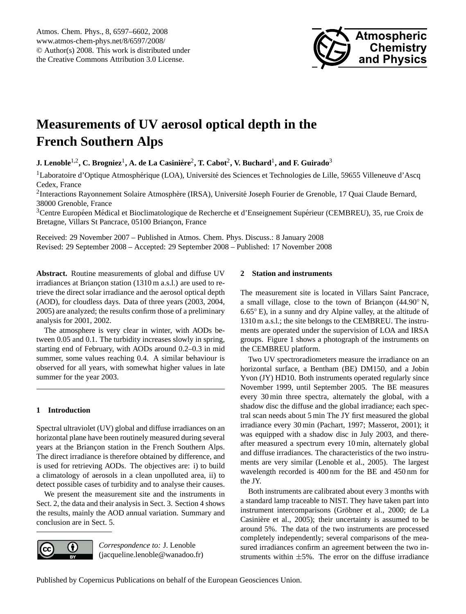

# <span id="page-0-0"></span>**Measurements of UV aerosol optical depth in the French Southern Alps**

 ${\bf J.~Lenoble}^{1,2}, {\bf C.~Brogniez}^1, {\bf A.~de~La~Casinière}^2, {\bf T.~Cabot}^2, {\bf V.~Buchard}^1, {\bf and~F.~Guirado}^3$ 

 $<sup>1</sup>$ Laboratoire d'Optique Atmosphérique (LOA), Université des Sciences et Technologies de Lille, 59655 Villeneuve d'Ascq</sup> Cedex, France

<sup>2</sup>Interactions Rayonnement Solaire Atmosphère (IRSA), Université Joseph Fourier de Grenoble, 17 Quai Claude Bernard, 38000 Grenoble, France

 $3$ Centre Européen Médical et Bioclimatologique de Recherche et d'Enseignement Supérieur (CEMBREU), 35, rue Croix de Bretagne, Villars St Pancrace, 05100 Briançon, France

Received: 29 November 2007 – Published in Atmos. Chem. Phys. Discuss.: 8 January 2008 Revised: 29 September 2008 – Accepted: 29 September 2008 – Published: 17 November 2008

**Abstract.** Routine measurements of global and diffuse UV irradiances at Briançon station (1310 m a.s.l.) are used to retrieve the direct solar irradiance and the aerosol optical depth (AOD), for cloudless days. Data of three years (2003, 2004, 2005) are analyzed; the results confirm those of a preliminary analysis for 2001, 2002.

The atmosphere is very clear in winter, with AODs between 0.05 and 0.1. The turbidity increases slowly in spring, starting end of February, with AODs around 0.2–0.3 in mid summer, some values reaching 0.4. A similar behaviour is observed for all years, with somewhat higher values in late summer for the year 2003.

## **1 Introduction**

Spectral ultraviolet (UV) global and diffuse irradiances on an horizontal plane have been routinely measured during several years at the Briançon station in the French Southern Alps. The direct irradiance is therefore obtained by difference, and is used for retrieving AODs. The objectives are: i) to build a climatology of aerosols in a clean unpolluted area, ii) to detect possible cases of turbidity and to analyse their causes.

We present the measurement site and the instruments in Sect. 2, the data and their analysis in Sect. 3. Section 4 shows the results, mainly the AOD annual variation. Summary and conclusion are in Sect. 5.



*Correspondence to:* J. Lenoble (jacqueline.lenoble@wanadoo.fr)

## **2 Station and instruments**

The measurement site is located in Villars Saint Pancrace, a small village, close to the town of Briançon  $(44.90°\text{ N},$ 6.65◦ E), in a sunny and dry Alpine valley, at the altitude of 1310 m a.s.l.; the site belongs to the CEMBREU. The instruments are operated under the supervision of LOA and IRSA groups. Figure 1 shows a photograph of the instruments on the CEMBREU platform.

Two UV spectroradiometers measure the irradiance on an horizontal surface, a Bentham (BE) DM150, and a Jobin Yvon (JY) HD10. Both instruments operated regularly since November 1999, until September 2005. The BE measures every 30 min three spectra, alternately the global, with a shadow disc the diffuse and the global irradiance; each spectral scan needs about 5 min The JY first measured the global irradiance every 30 min (Pachart, 1997; Masserot, 2001); it was equipped with a shadow disc in July 2003, and thereafter measured a spectrum every 10 min, alternately global and diffuse irradiances. The characteristics of the two instruments are very similar (Lenoble et al., 2005). The largest wavelength recorded is 400 nm for the BE and 450 nm for the JY.

Both instruments are calibrated about every 3 months with a standard lamp traceable to NIST. They have taken part into instrument intercomparisons (Gröbner et al., 2000; de La Casinière et al., 2005); their uncertainty is assumed to be around 5%. The data of the two instruments are processed completely independently; several comparisons of the measured irradiances confirm an agreement between the two instruments within  $\pm 5\%$ . The error on the diffuse irradiance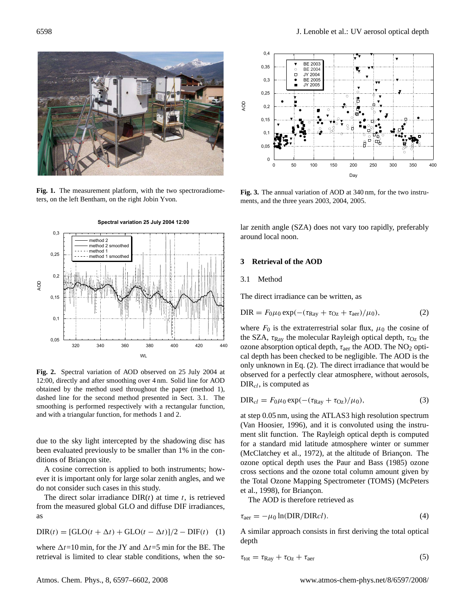

Fig. 1. The measurement platform, with the two spectroradiometers, on the left Bentham, on the right Jobin Yvon.



**Fig. 2.** Spectral variation of AOD observed on 25 July 2004 at 12:00, directly and after smoothing over 4 nm. Solid line for AOD obtained by the method used throughout the paper (method 1), dashed line for the second method presented in Sect. 3.1. The smoothing is performed respectively with a rectangular function, and with a triangular function, for methods 1 and 2.

due to the sky light intercepted by the shadowing disc has been evaluated previously to be smaller than 1% in the conditions of Briancon site.

A cosine correction is applied to both instruments; however it is important only for large solar zenith angles, and we do not consider such cases in this study.

The direct solar irradiance  $DIR(t)$  at time t, is retrieved from the measured global GLO and diffuse DIF irradiances, as

$$
DIR(t) = [GLO(t + \Delta t) + GLO(t - \Delta t)]/2 - DIF(t) \quad (1)
$$

where  $\Delta t=10$  min, for the JY and  $\Delta t=5$  min for the BE. The retrieval is limited to clear stable conditions, when the so-



**Fig. 3.** The annual variation of AOD at 340 nm, for the two instruments, and the three years 2003, 2004, 2005.

lar zenith angle (SZA) does not vary too rapidly, preferably around local noon.

#### **3 Retrieval of the AOD**

#### 3.1 Method

The direct irradiance can be written, as

$$
\text{DIR} = F_0 \mu_0 \exp(-(\tau_{\text{Ray}} + \tau_{\text{Oz}} + \tau_{\text{aer}})/\mu_0), \tag{2}
$$

where  $F_0$  is the extraterrestrial solar flux,  $\mu_0$  the cosine of the SZA,  $\tau_{\rm Ray}$  the molecular Rayleigh optical depth,  $\tau_{\rm Oz}$  the ozone absorption optical depth,  $\tau_{\text{aer}}$  the AOD. The NO<sub>2</sub> optical depth has been checked to be negligible. The AOD is the only unknown in Eq. (2). The direct irradiance that would be observed for a perfectly clear atmosphere, without aerosols,  $DIR<sub>cl</sub>$ , is computed as

$$
DIR_{cl} = F_0\mu_0 \exp(-(\tau_{Ray} + \tau_{Oz})/\mu_0),
$$
\n(3)

at step 0.05 nm, using the ATLAS3 high resolution spectrum (Van Hoosier, 1996), and it is convoluted using the instrument slit function. The Rayleigh optical depth is computed for a standard mid latitude atmosphere winter or summer (McClatchey et al., 1972), at the altitude of Briançon. The ozone optical depth uses the Paur and Bass (1985) ozone cross sections and the ozone total column amount given by the Total Ozone Mapping Spectrometer (TOMS) (McPeters et al., 1998), for Briancon.

The AOD is therefore retrieved as

$$
\tau_{\text{aer}} = -\mu_0 \ln(\text{DIR}/\text{DIR}cl). \tag{4}
$$

A similar approach consists in first deriving the total optical depth

$$
\tau_{\text{tot}} = \tau_{\text{Ray}} + \tau_{\text{Oz}} + \tau_{\text{aer}} \tag{5}
$$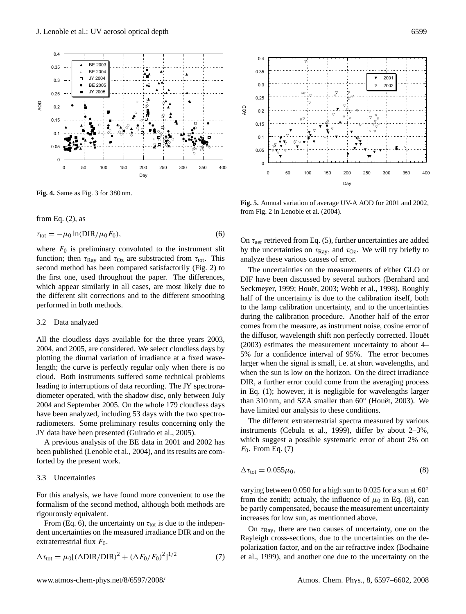

**Fig. 4.** Same as Fig. 3 for 380 nm.

from Eq.  $(2)$ , as

$$
\tau_{\text{tot}} = -\mu_0 \ln(\text{DIR}/\mu_0 F_0),\tag{6}
$$

where  $F_0$  is preliminary convoluted to the instrument slit function; then  $\tau_{Ray}$  and  $\tau_{Oz}$  are substracted from  $\tau_{tot}$ . This second method has been compared satisfactorily (Fig. 2) to the first one, used throughout the paper. The differences, which appear similarly in all cases, are most likely due to the different slit corrections and to the different smoothing performed in both methods.

#### 3.2 Data analyzed

All the cloudless days available for the three years 2003, 2004, and 2005, are considered. We select cloudless days by plotting the diurnal variation of irradiance at a fixed wavelength; the curve is perfectly regular only when there is no cloud. Both instruments suffered some technical problems leading to interruptions of data recording. The JY spectroradiometer operated, with the shadow disc, only between July 2004 and September 2005. On the whole 179 cloudless days have been analyzed, including 53 days with the two spectroradiometers. Some preliminary results concerning only the JY data have been presented (Guirado et al., 2005).

A previous analysis of the BE data in 2001 and 2002 has been published (Lenoble et al., 2004), and its results are comforted by the present work.

### 3.3 Uncertainties

For this analysis, we have found more convenient to use the formalism of the second method, although both methods are rigourously equivalent.

From (Eq. 6), the uncertainty on  $\tau_{tot}$  is due to the independent uncertainties on the measured irradiance DIR and on the extraterrestrial flux  $F_0$ .

$$
\Delta \tau_{\text{tot}} = \mu_0 [(\Delta \text{DIR}/\text{DIR})^2 + (\Delta F_0/F_0)^2]^{1/2}
$$
 (7)



**Fig. 5.** Annual variation of average UV-A AOD for 2001 and 2002, from Fig. 2 in Lenoble et al. (2004).

On  $\tau_{\text{aer}}$  retrieved from Eq. (5), further uncertainties are added by the uncertainties on  $\tau_{Ray}$ , and  $\tau_{Oz}$ . We will try briefly to analyze these various causes of error.

The uncertainties on the measurements of either GLO or DIF have been discussed by several authors (Bernhard and Seckmeyer, 1999; Houët, 2003; Webb et al., 1998). Roughly half of the uncertainty is due to the calibration itself, both to the lamp calibration uncertainty, and to the uncertainties during the calibration procedure. Another half of the error comes from the measure, as instrument noise, cosine error of the diffusor, wavelength shift non perfectly corrected. Houet¨ (2003) estimates the measurement uncertainty to about 4– 5% for a confidence interval of 95%. The error becomes larger when the signal is small, i.e. at short wavelengths, and when the sun is low on the horizon. On the direct irradiance DIR, a further error could come from the averaging process in Eq. (1); however, it is negligible for wavelengths larger than 310 nm, and SZA smaller than 60° (Houët, 2003). We have limited our analysis to these conditions.

The different extraterrestrial spectra measured by various instruments (Cebula et al., 1999), differ by about 2–3%, which suggest a possible systematic error of about 2% on  $F_0$ . From Eq. (7)

$$
\Delta \tau_{\text{tot}} = 0.055 \mu_0, \tag{8}
$$

varying between 0.050 for a high sun to 0.025 for a sun at 60◦ from the zenith; actualy, the influence of  $\mu_0$  in Eq. (8), can be partly compensated, because the measurement uncertainty increases for low sun, as mentionned above.

On  $\tau_{\rm Ray}$ , there are two causes of uncertainty, one on the Rayleigh cross-sections, due to the uncertainties on the depolarization factor, and on the air refractive index (Bodhaine et al., 1999), and another one due to the uncertainty on the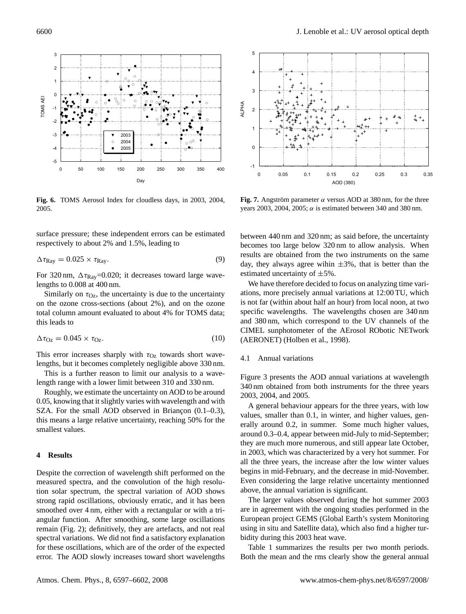

**Fig. 6.** TOMS Aerosol Index for cloudless days, in 2003, 2004, 2005.

surface pressure; these independent errors can be estimated respectively to about 2% and 1.5%, leading to

$$
\Delta \tau_{\rm Ray} = 0.025 \times \tau_{\rm Ray}.\tag{9}
$$

For 320 nm,  $\Delta \tau_{\text{Ray}}$ =0.020; it decreases toward large wavelengths to 0.008 at 400 nm.

Similarly on  $\tau_{Oz}$ , the uncertainty is due to the uncertainty on the ozone cross-sections (about 2%), and on the ozone total column amount evaluated to about 4% for TOMS data; this leads to

$$
\Delta \tau_{\text{Oz}} = 0.045 \times \tau_{\text{Oz}}.\tag{10}
$$

This error increases sharply with  $\tau_{Oz}$  towards short wavelengths, but it becomes completely negligible above 330 nm.

This is a further reason to limit our analysis to a wavelength range with a lower limit between 310 and 330 nm.

Roughly, we estimate the uncertainty on AOD to be around 0.05, knowing that it slightly varies with wavelength and with SZA. For the small AOD observed in Briancon  $(0.1-0.3)$ , this means a large relative uncertainty, reaching 50% for the smallest values.

## **4 Results**

Despite the correction of wavelength shift performed on the measured spectra, and the convolution of the high resolution solar spectrum, the spectral variation of AOD shows strong rapid oscillations, obviously erratic, and it has been smoothed over 4 nm, either with a rectangular or with a triangular function. After smoothing, some large oscillations remain (Fig. 2); definitively, they are artefacts, and not real spectral variations. We did not find a satisfactory explanation for these oscillations, which are of the order of the expected error. The AOD slowly increases toward short wavelengths



**Fig. 7.** Angström parameter  $\alpha$  versus AOD at 380 nm, for the three years 2003, 2004, 2005;  $\alpha$  is estimated between 340 and 380 nm.

between 440 nm and 320 nm; as said before, the uncertainty becomes too large below 320 nm to allow analysis. When results are obtained from the two instruments on the same day, they always agree wihin  $\pm 3\%$ , that is better than the estimated uncertainty of  $\pm 5\%$ .

We have therefore decided to focus on analyzing time variations, more precisely annual variations at 12:00 TU, which is not far (within about half an hour) from local noon, at two specific wavelengths. The wavelengths chosen are 340 nm and 380 nm, which correspond to the UV channels of the CIMEL sunphotometer of the AErosol RObotic NETwork (AERONET) (Holben et al., 1998).

#### 4.1 Annual variations

Figure 3 presents the AOD annual variations at wavelength 340 nm obtained from both instruments for the three years 2003, 2004, and 2005.

A general behaviour appears for the three years, with low values, smaller than 0.1, in winter, and higher values, generally around 0.2, in summer. Some much higher values, around 0.3–0.4, appear between mid-July to mid-September; they are much more numerous, and still appear late October, in 2003, which was characterized by a very hot summer. For all the three years, the increase after the low winter values begins in mid-February, and the decrease in mid-November. Even considering the large relative uncertainty mentionned above, the annual variation is significant.

The larger values observed during the hot summer 2003 are in agreement with the ongoing studies performed in the European project GEMS (Global Earth's system Monitoring using in situ and Satellite data), which also find a higher turbidity during this 2003 heat wave.

Table 1 summarizes the results per two month periods. Both the mean and the rms clearly show the general annual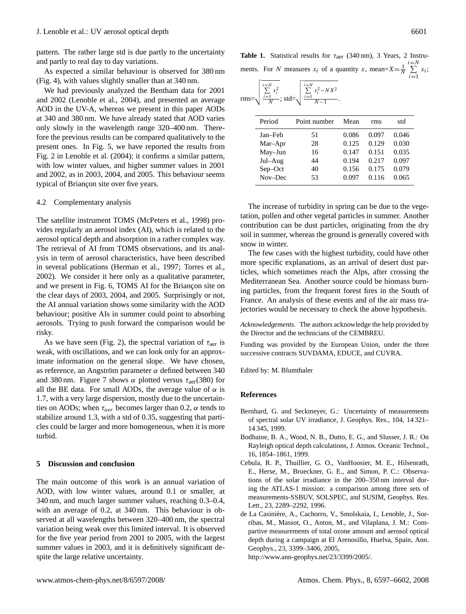pattern. The rather large std is due partly to the uncertainty and partly to real day to day variations.

As expected a similar behaviour is observed for 380 nm (Fig. 4), with values slightly smaller than at 340 nm.

We had previously analyzed the Bentham data for 2001 and 2002 (Lenoble et al., 2004), and presented an average AOD in the UV-A, whereas we present in this paper AODs at 340 and 380 nm. We have already stated that AOD varies only slowly in the wavelength range 320–400 nm. Therefore the previous results can be compared qualitatively to the present ones. In Fig. 5, we have reported the results from Fig. 2 in Lenoble et al. (2004); it confirms a similar pattern, with low winter values, and higher summer values in 2001 and 2002, as in 2003, 2004, and 2005. This behaviour seems typical of Briançon site over five years.

#### 4.2 Complementary analysis

The satellite instrument TOMS (McPeters et al., 1998) provides regularly an aerosol index (AI), which is related to the aerosol optical depth and absorption in a rather complex way. The retrieval of AI from TOMS observations, and its analysis in term of aerosol characteristics, have been described in several publications (Herman et al., 1997; Torres et al., 2002). We consider it here only as a qualitative parameter, and we present in Fig. 6, TOMS AI for the Briançon site on the clear days of 2003, 2004, and 2005. Surprisingly or not, the AI annual variation shows some similarity with the AOD behaviour; positive AIs in summer could point to absorbing aerosols. Trying to push forward the comparison would be risky.

As we have seen (Fig. 2), the spectral variation of  $\tau_{\text{aer}}$  is weak, with oscillations, and we can look only for an approximate information on the general slope. We have chosen, as reference, an Angström parameter  $\alpha$  defined between 340 and 380 nm. Figure 7 shows  $\alpha$  plotted versus  $\tau_{\text{aer}}(380)$  for all the BE data. For small AODs, the average value of  $\alpha$  is 1.7, with a very large dispersion, mostly due to the uncertainties on AODs; when  $\tau_{aer}$  becomes larger than 0.2,  $\alpha$  tends to stabilize around 1.3, with a std of 0.35, suggesting that particles could be larger and more homogeneous, when it is more turbid.

#### **5 Discussion and conclusion**

The main outcome of this work is an annual variation of AOD, with low winter values, around 0.1 or smaller, at 340 nm, and much larger summer values, reaching 0.3–0.4, with an average of 0.2, at 340 nm. This behaviour is observed at all wavelengths between 320–400 nm, the spectral variation being weak over this limited interval. It is observed for the five year period from 2001 to 2005, with the largest summer values in 2003, and it is definitively significant despite the large relative uncertainty.

| <b>Table 1.</b> Statistical results for $\tau_{\text{aer}}$ (340 nm), 3 Years, 2 Instru-  |  |  |  |  |  |       |  |
|-------------------------------------------------------------------------------------------|--|--|--|--|--|-------|--|
| ments. For N measures $x_i$ of a quantity x, mean= $X = \frac{1}{N} \sum_{i=1}^{N} x_i$ ; |  |  |  |  |  | $i=1$ |  |

$$
rms = \sqrt{\frac{\sum_{i=1}^{i=N} x_i^2}{N}}; std = \sqrt{\frac{\sum_{i=1}^{i=N} x_i^2 - N X^2}{N-1}}.
$$

| Period  | Point number | Mean  | rms   | std   |
|---------|--------------|-------|-------|-------|
| Jan-Feb | 51           | 0.086 | 0.097 | 0.046 |
| Mar-Apr | 28           | 0.125 | 0.129 | 0.030 |
| May-Jun | 16           | 0.147 | 0.151 | 0.035 |
| Jul-Aug | 44           | 0.194 | 0.217 | 0.097 |
| Sep-Oct | 40           | 0.156 | 0.175 | 0.079 |
| Nov-Dec | 53           | 0.097 | 0.116 | 0.065 |

The increase of turbidity in spring can be due to the vegetation, pollen and other vegetal particles in summer. Another contribution can be dust particles, originating from the dry soil in summer, whereas the ground is generally covered with snow in winter.

The few cases with the highest turbidity, could have other more specific explanations, as an arrival of desert dust particles, which sometimes reach the Alps, after crossing the Mediterranean Sea. Another source could be biomass burning particles, from the frequent forest fires in the South of France. An analysis of these events and of the air mass trajectories would be necessary to check the above hypothesis.

*Acknowledgements.* The authors acknowledge the help provided by the Director and the technicians of the CEMBREU.

Funding was provided by the European Union, under the three successive contracts SUVDAMA, EDUCE, and CUVRA.

Edited by: M. Blumthaler

#### **References**

- Bernhard, G. and Seckmeyer, G.: Uncertainty of measurements of spectral solar UV irradiance, J. Geophys. Res., 104, 14 321– 14 345, 1999.
- Bodhaine, B. A., Wood, N. B., Dutto, E. G., and Slusser, J. R.: On Rayleigh optical depth calculations, J. Atmos. Oceanic Technol., 16, 1854–1861, 1999.
- Cebula, R. P., Thuillier, G. O., VanHoosier, M. E., Hilsenrath, E., Herse, M., Brueckner, G. E., and Simon, P. C.: Observations of the solar irradiance in the 200–350 nm interval during the ATLAS-1 mission: a comparison among three sets of measurements-SSBUV, SOLSPEC, and SUSIM, Geophys. Res. Lett., 23, 2289–2292, 1996.
- de La Casiniere, A., Cachorro, V., Smolskaia, I., Lenoble, J., Sor- ` ribas, M., Massot, O., Anton, M., and Vilaplana, J. M.: Compartive measurements of total ozone amount and aerosol optical depth during a campaign at El Arenosillo, Huelva, Spain, Ann. Geophys., 23, 3399–3406, 2005,

[http://www.ann-geophys.net/23/3399/2005/.](http://www.ann-geophys.net/23/3399/2005/)